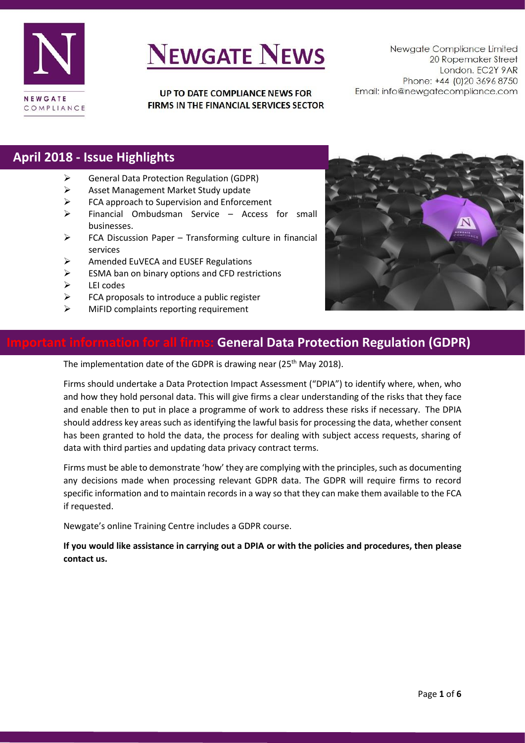

UP TO DATE COMPLIANCE NEWS FOR FIRMS IN THE FINANCIAL SERVICES SECTOR

Newgate Compliance Limited 20 Ropemaker Street London. EC2Y 9AR Phone: +44 (0)20 3696 8750 Email: info@newgatecompliance.com

### **April 2018 - Issue Highlights**

- ➢ General Data Protection Regulation (GDPR)
- ➢ Asset Management Market Study update
- ➢ FCA approach to Supervision and Enforcement
- ➢ Financial Ombudsman Service Access for small businesses.
- ➢ FCA Discussion Paper Transforming culture in financial services
- ➢ Amended EuVECA and EUSEF Regulations
- $\triangleright$  ESMA ban on binary options and CFD restrictions
- ➢ LEI codes
- $\triangleright$  FCA proposals to introduce a public register
- ➢ MiFID complaints reporting requirement



#### **Importal Data Protection Regulation (GDPR)**

The implementation date of the GDPR is drawing near (25<sup>th</sup> May 2018).

Firms should undertake a Data Protection Impact Assessment ("DPIA") to identify where, when, who and how they hold personal data. This will give firms a clear understanding of the risks that they face and enable then to put in place a programme of work to address these risks if necessary. The DPIA should address key areas such as identifying the lawful basis for processing the data, whether consent has been granted to hold the data, the process for dealing with subject access requests, sharing of data with third parties and updating data privacy contract terms.

Firms must be able to demonstrate 'how' they are complying with the principles, such as documenting any decisions made when processing relevant GDPR data. The GDPR will require firms to record specific information and to maintain records in a way so that they can make them available to the FCA if requested.

Newgate's online Training Centre includes a GDPR course.

**If you would like assistance in carrying out a DPIA or with the policies and procedures, then please contact us.**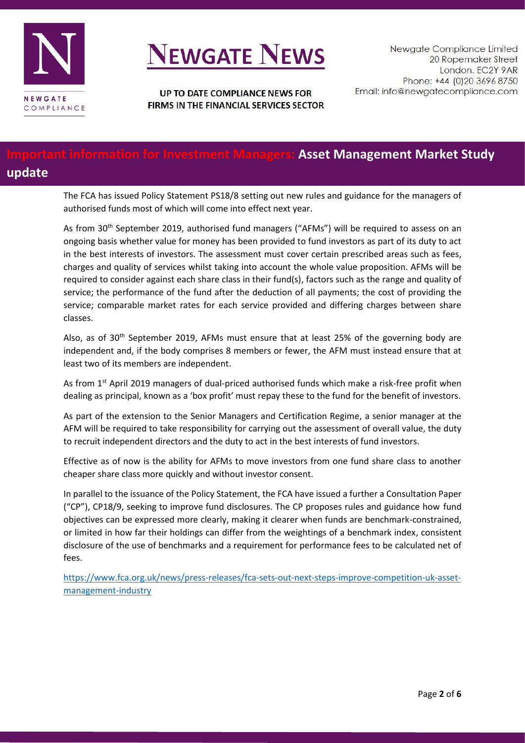

UP TO DATE COMPLIANCE NEWS FOR FIRMS IN THE FINANCIAL SERVICES SECTOR

#### **Iation for Investment Managers: Asset Management Market Study update**

The FCA has issued Policy Statement PS18/8 setting out new rules and guidance for the managers of authorised funds most of which will come into effect next year.

As from 30<sup>th</sup> September 2019, authorised fund managers ("AFMs") will be required to assess on an ongoing basis whether value for money has been provided to fund investors as part of its duty to act in the best interests of investors. The assessment must cover certain prescribed areas such as fees, charges and quality of services whilst taking into account the whole value proposition. AFMs will be required to consider against each share class in their fund(s), factors such as the range and quality of service; the performance of the fund after the deduction of all payments; the cost of providing the service; comparable market rates for each service provided and differing charges between share classes.

Also, as of 30<sup>th</sup> September 2019, AFMs must ensure that at least 25% of the governing body are independent and, if the body comprises 8 members or fewer, the AFM must instead ensure that at least two of its members are independent.

As from 1<sup>st</sup> April 2019 managers of dual-priced authorised funds which make a risk-free profit when dealing as principal, known as a 'box profit' must repay these to the fund for the benefit of investors.

As part of the extension to the Senior Managers and Certification Regime, a senior manager at the AFM will be required to take responsibility for carrying out the assessment of overall value, the duty to recruit independent directors and the duty to act in the best interests of fund investors.

Effective as of now is the ability for AFMs to move investors from one fund share class to another cheaper share class more quickly and without investor consent.

In parallel to the issuance of the Policy Statement, the FCA have issued a further a Consultation Paper ("CP"), CP18/9, seeking to improve fund disclosures. The CP proposes rules and guidance how fund objectives can be expressed more clearly, making it clearer when funds are benchmark-constrained, or limited in how far their holdings can differ from the weightings of a benchmark index, consistent disclosure of the use of benchmarks and a requirement for performance fees to be calculated net of fees.

[https://www.fca.org.uk/news/press-releases/fca-sets-out-next-steps-improve-competition-uk-asset](https://www.fca.org.uk/news/press-releases/fca-sets-out-next-steps-improve-competition-uk-asset-management-industry)[management-industry](https://www.fca.org.uk/news/press-releases/fca-sets-out-next-steps-improve-competition-uk-asset-management-industry)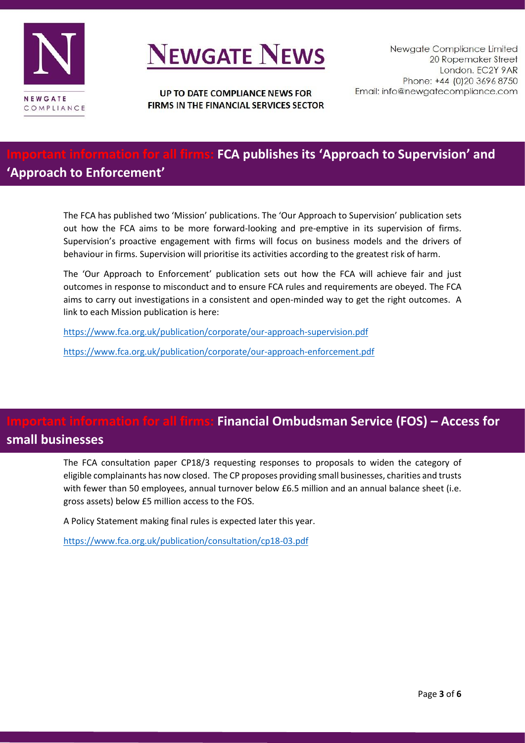

UP TO DATE COMPLIANCE NEWS FOR FIRMS IN THE FINANCIAL SERVICES SECTOR

### **Important information for all firms: FCA publishes its 'Approach to Supervision' and 'Approach to Enforcement'**

The FCA has published two 'Mission' publications. The 'Our Approach to Supervision' publication sets out how the FCA aims to be more forward-looking and pre-emptive in its supervision of firms. Supervision's proactive engagement with firms will focus on business models and the drivers of behaviour in firms. Supervision will prioritise its activities according to the greatest risk of harm.

The 'Our Approach to Enforcement' publication sets out how the FCA will achieve fair and just outcomes in response to misconduct and to ensure FCA rules and requirements are obeyed. The FCA aims to carry out investigations in a consistent and open-minded way to get the right outcomes. A link to each Mission publication is here:

<https://www.fca.org.uk/publication/corporate/our-approach-supervision.pdf>

<https://www.fca.org.uk/publication/corporate/our-approach-enforcement.pdf>

### **Indumity formation forms: Financial Ombudsman Service (FOS) – Access for** *Lion* **for all firms: Financial Ombudsman small businesses**

The FCA consultation paper CP18/3 requesting responses to proposals to widen the category of eligible complainants has now closed. The CP proposes providing small businesses, charities and trusts with fewer than 50 employees, annual turnover below £6.5 million and an annual balance sheet (i.e. gross assets) below £5 million access to the FOS.

A Policy Statement making final rules is expected later this year.

<https://www.fca.org.uk/publication/consultation/cp18-03.pdf>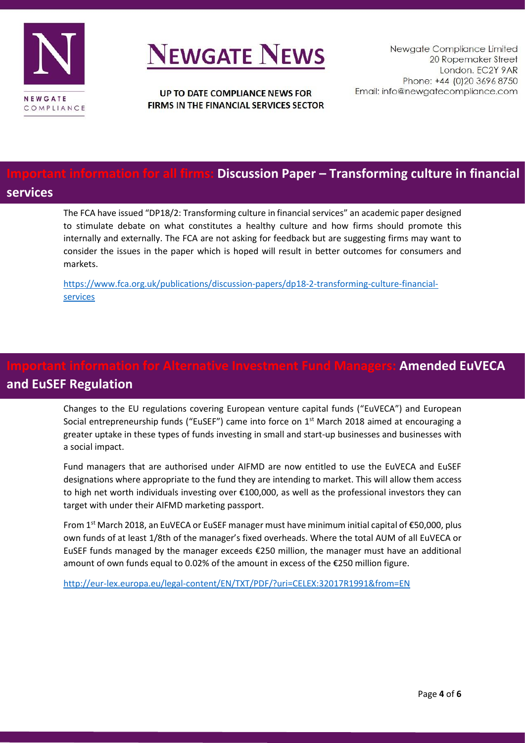

UP TO DATE COMPLIANCE NEWS FOR FIRMS IN THE FINANCIAL SERVICES SECTOR

### **Discussion Paper – Transforming culture in financial**

#### **services**

The FCA have issued "DP18/2: Transforming culture in financial services" an academic paper designed to stimulate debate on what constitutes a healthy culture and how firms should promote this internally and externally. The FCA are not asking for feedback but are suggesting firms may want to consider the issues in the paper which is hoped will result in better outcomes for consumers and markets.

[https://www.fca.org.uk/publications/discussion-papers/dp18-2-transforming-culture-financial](https://www.fca.org.uk/publications/discussion-papers/dp18-2-transforming-culture-financial-services)[services](https://www.fca.org.uk/publications/discussion-papers/dp18-2-transforming-culture-financial-services)

### **Amended EuVECA and EuSEF Regulation**

Changes to the EU regulations covering European venture capital funds ("EuVECA") and European Social entrepreneurship funds ("EuSEF") came into force on 1<sup>st</sup> March 2018 aimed at encouraging a greater uptake in these types of funds investing in small and start-up businesses and businesses with a social impact.

Fund managers that are authorised under AIFMD are now entitled to use the EuVECA and EuSEF designations where appropriate to the fund they are intending to market. This will allow them access to high net worth individuals investing over €100,000, as well as the professional investors they can target with under their AIFMD marketing passport.

From 1st March 2018, an EuVECA or EuSEF manager must have minimum initial capital of €50,000, plus own funds of at least 1/8th of the manager's fixed overheads. Where the total AUM of all EuVECA or EuSEF funds managed by the manager exceeds €250 million, the manager must have an additional amount of own funds equal to 0.02% of the amount in excess of the €250 million figure.

<http://eur-lex.europa.eu/legal-content/EN/TXT/PDF/?uri=CELEX:32017R1991&from=EN>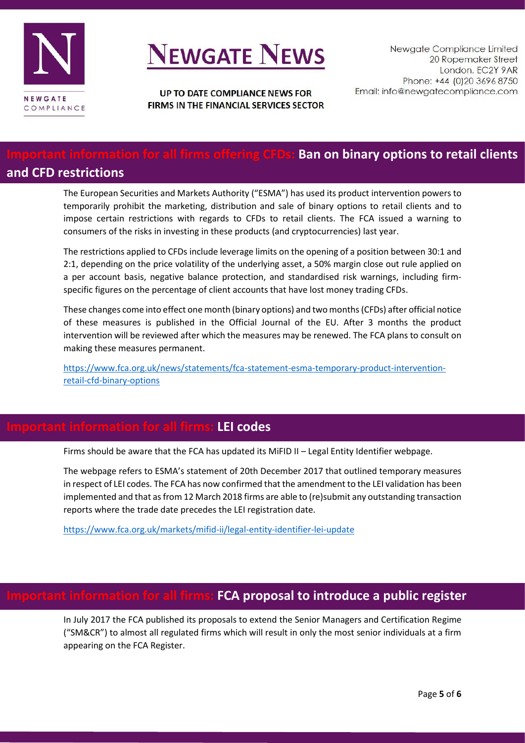

UP TO DATE COMPLIANCE NEWS FOR FIRMS IN THE FINANCIAL SERVICES SECTOR

#### **In for all firms offering CFDs: Ban on binary options to retail clients and CFD restrictions**

The European Securities and Markets Authority ("ESMA") has used its product intervention powers to temporarily prohibit the marketing, distribution and sale of binary options to retail clients and to impose certain restrictions with regards to CFDs to retail clients. The FCA issued a warning to consumers of the risks in investing in these products (and cryptocurrencies) last year.

The restrictions applied to CFDs include leverage limits on the opening of a position between 30:1 and 2:1, depending on the price volatility of the underlying asset, a 50% margin close out rule applied on a per account basis, negative balance protection, and standardised risk warnings, including firmspecific figures on the percentage of client accounts that have lost money trading CFDs.

These changes come into effect one month (binary options) and two months (CFDs) after official notice of these measures is published in the Official Journal of the EU. After 3 months the product intervention will be reviewed after which the measures may be renewed. The FCA plans to consult on making these measures permanent.

[https://www.fca.org.uk/news/statements/fca-statement-esma-temporary-product-intervention](https://www.fca.org.uk/news/statements/fca-statement-esma-temporary-product-intervention-retail-cfd-binary-options)[retail-cfd-binary-options](https://www.fca.org.uk/news/statements/fca-statement-esma-temporary-product-intervention-retail-cfd-binary-options)

#### **Important information for all firms: LEI codes**

Firms should be aware that the FCA has updated its MiFID II – Legal Entity Identifier webpage.

The webpage refers to ESMA's statement of 20th December 2017 that outlined temporary measures in respect of LEI codes. The FCA has now confirmed that the amendment to the LEI validation has been implemented and that as from 12 March 2018 firms are able to (re)submit any outstanding transaction reports where the trade date precedes the LEI registration date.

<https://www.fca.org.uk/markets/mifid-ii/legal-entity-identifier-lei-update>

#### **Information for all firms: FCA proposal to introduce a public register**

In July 2017 the FCA published its proposals to extend the Senior Managers and Certification Regime ("SM&CR") to almost all regulated firms which will result in only the most senior individuals at a firm appearing on the FCA Register.